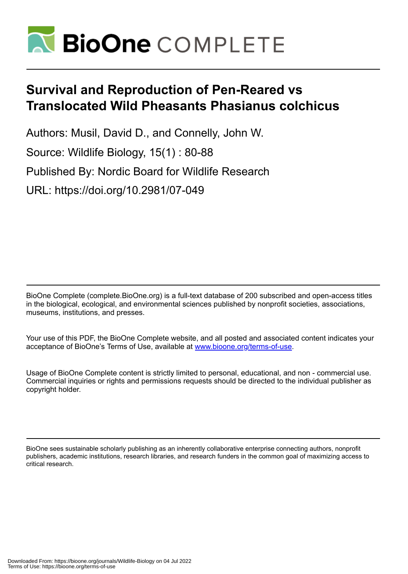

# **Survival and Reproduction of Pen-Reared vs Translocated Wild Pheasants Phasianus colchicus**

Authors: Musil, David D., and Connelly, John W. Source: Wildlife Biology, 15(1) : 80-88 Published By: Nordic Board for Wildlife Research URL: https://doi.org/10.2981/07-049

BioOne Complete (complete.BioOne.org) is a full-text database of 200 subscribed and open-access titles in the biological, ecological, and environmental sciences published by nonprofit societies, associations, museums, institutions, and presses.

Your use of this PDF, the BioOne Complete website, and all posted and associated content indicates your acceptance of BioOne's Terms of Use, available at www.bioone.org/terms-of-use.

Usage of BioOne Complete content is strictly limited to personal, educational, and non - commercial use. Commercial inquiries or rights and permissions requests should be directed to the individual publisher as copyright holder.

BioOne sees sustainable scholarly publishing as an inherently collaborative enterprise connecting authors, nonprofit publishers, academic institutions, research libraries, and research funders in the common goal of maximizing access to critical research.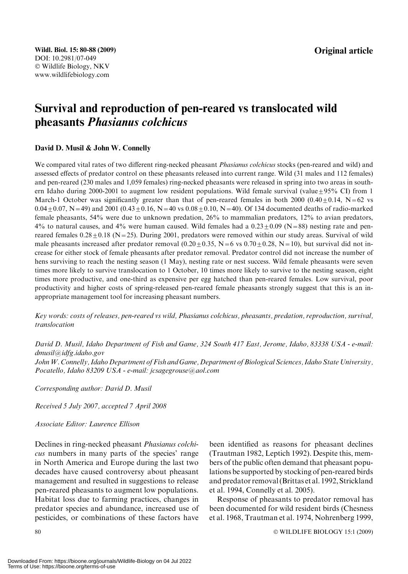# Survival and reproduction of pen-reared vs translocated wild pheasants Phasianus colchicus

#### David D. Musil & John W. Connelly

We compared vital rates of two different ring-necked pheasant *Phasianus colchicus* stocks (pen-reared and wild) and assessed effects of predator control on these pheasants released into current range. Wild (31 males and 112 females) and pen-reared (230 males and 1,059 females) ring-necked pheasants were released in spring into two areas in southern Idaho during 2000-2001 to augment low resident populations. Wild female survival (value +  $95\%$  CI) from 1 March-1 October was significantly greater than that of pen-reared females in both 2000 (0.40 $\pm$ 0.14, N=62 vs  $0.04 \pm 0.07$ , N=49) and 2001 (0.43 $\pm$ 0.16, N=40 vs 0.08 $\pm$ 0.10, N=40). Of 134 documented deaths of radio-marked female pheasants, 54% were due to unknown predation, 26% to mammalian predators, 12% to avian predators, 4% to natural causes, and 4% were human caused. Wild females had a  $0.23 \pm 0.09$  (N=88) nesting rate and penreared females  $0.28 \pm 0.18$  (N=25). During 2001, predators were removed within our study areas. Survival of wild male pheasants increased after predator removal  $(0.20+0.35, N=6 \text{ vs } 0.70+0.28, N=10)$ , but survival did not increase for either stock of female pheasants after predator removal. Predator control did not increase the number of hens surviving to reach the nesting season (1 May), nesting rate or nest success. Wild female pheasants were seven times more likely to survive translocation to 1 October, 10 times more likely to survive to the nesting season, eight times more productive, and one-third as expensive per egg hatched than pen-reared females. Low survival, poor productivity and higher costs of spring-released pen-reared female pheasants strongly suggest that this is an inappropriate management tool for increasing pheasant numbers.

Key words: costs of releases, pen-reared vs wild, Phasianus colchicus, pheasants, predation, reproduction, survival, translocation

David D. Musil, Idaho Department of Fish and Game, 324 South 417 East, Jerome, Idaho, 83338 USA - e-mail: dmusil@idfg.idaho.gov

JohnW. Connelly, Idaho Department of Fish and Game, Department of Biological Sciences, Idaho State University, Pocatello, Idaho 83209 USA - e-mail: jcsagegrouse@aol.com

Corresponding author: David D. Musil

Received 5 July 2007, accepted 7 April 2008

Associate Editor: Laurence Ellison

Declines in ring-necked pheasant Phasianus colchicus numbers in many parts of the species' range in North America and Europe during the last two decades have caused controversy about pheasant management and resulted in suggestions to release pen-reared pheasants to augment low populations. Habitat loss due to farming practices, changes in predator species and abundance, increased use of pesticides, or combinations of these factors have been identified as reasons for pheasant declines (Trautman 1982, Leptich 1992). Despite this, members of the public often demand that pheasant populations be supported by stocking of pen-reared birds and predator removal (Brittas et al. 1992, Strickland et al. 1994, Connelly et al. 2005).

Response of pheasants to predator removal has been documented for wild resident birds (Chesness et al. 1968, Trautman et al. 1974, Nohrenberg 1999,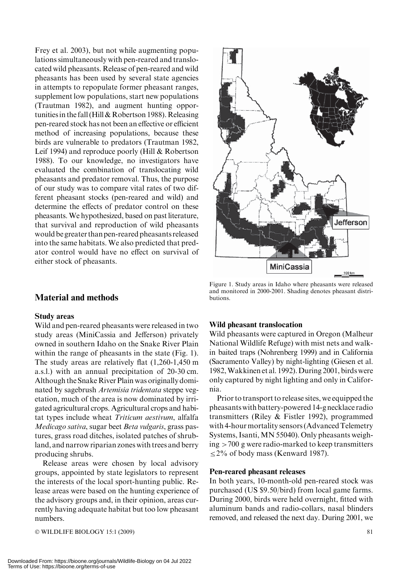Frey et al. 2003), but not while augmenting populations simultaneously with pen-reared and translocated wild pheasants. Release of pen-reared and wild pheasants has been used by several state agencies in attempts to repopulate former pheasant ranges, supplement low populations, start new populations (Trautman 1982), and augment hunting opportunitiesin the fall (Hill & Robertson 1988). Releasing pen-reared stock has not been an effective or efficient method of increasing populations, because these birds are vulnerable to predators (Trautman 1982, Leif 1994) and reproduce poorly (Hill & Robertson 1988). To our knowledge, no investigators have evaluated the combination of translocating wild pheasants and predator removal. Thus, the purpose of our study was to compare vital rates of two different pheasant stocks (pen-reared and wild) and determine the effects of predator control on these pheasants.We hypothesized, based on past literature, that survival and reproduction of wild pheasants wouldbe greater than pen-reared pheasants released into the same habitats. We also predicted that predator control would have no effect on survival of either stock of pheasants.

# Material and methods

#### Study areas

Wild and pen-reared pheasants were released in two study areas (MiniCassia and Jefferson) privately owned in southern Idaho on the Snake River Plain within the range of pheasants in the state (Fig. 1). The study areas are relatively flat (1,260-1,450 m a.s.l.) with an annual precipitation of 20-30 cm. Although the Snake River Plain was originally dominated by sagebrush Artemisia tridentata steppe vegetation, much of the area is now dominated by irrigated agricultural crops. Agricultural crops and habitat types include wheat Triticum aestivum, alfalfa Medicago sativa, sugar beet Beta vulgaris, grass pastures, grass road ditches, isolated patches of shrubland, and narrow riparian zones with trees and berry producing shrubs.

Release areas were chosen by local advisory groups, appointed by state legislators to represent the interests of the local sport-hunting public. Release areas were based on the hunting experience of the advisory groups and, in their opinion, areas currently having adequate habitat but too low pheasant numbers.

 $\odot$  WILDLIFE BIOLOGY 15:1 (2009) 81



Figure 1. Study areas in Idaho where pheasants were released and monitored in 2000-2001. Shading denotes pheasant distributions.

#### Wild pheasant translocation

Wild pheasants were captured in Oregon (Malheur National Wildlife Refuge) with mist nets and walkin baited traps (Nohrenberg 1999) and in California (Sacramento Valley) by night-lighting (Giesen et al. 1982,Wakkinen et al. 1992). During 2001, birds were only captured by night lighting and only in California.

Prior to transport to release sites, we equipped the pheasants with battery-powered 14-g necklace radio transmitters (Riley & Fistler 1992), programmed with 4-hour mortality sensors (Advanced Telemetry Systems, Isanti, MN 55040). Only pheasants weigh $ing$  >700 g were radio-marked to keep transmitters  $\leq$ 2% of body mass (Kenward 1987).

#### Pen-reared pheasant releases

In both years, 10-month-old pen-reared stock was purchased (US \$9.50/bird) from local game farms. During 2000, birds were held overnight, fitted with aluminum bands and radio-collars, nasal blinders removed, and released the next day. During 2001, we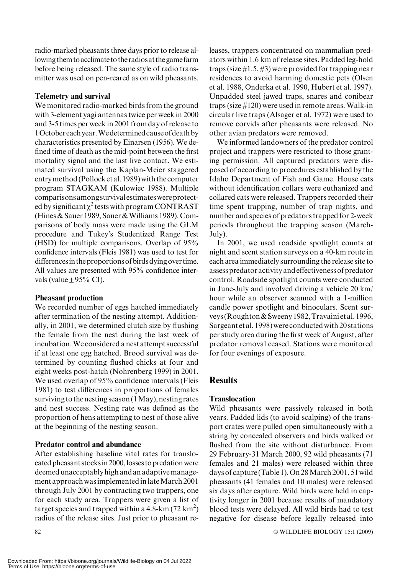radio-marked pheasants three days prior to release allowing them to acclimate to the radiosat the game farm before being released. The same style of radio transmitter was used on pen-reared as on wild pheasants.

#### Telemetry and survival

We monitored radio-marked birds from the ground with 3-element yagi antennas twice per week in 2000 and 3-5 times per week in 2001 from day of release to 1Octobereachyear.Wedeterminedcauseofdeathby characteristics presented by Einarsen (1956). We defined time of death as the mid-point between the first mortality signal and the last live contact. We estimated survival using the Kaplan-Meier staggered entry method (Pollock et al. 1989) with the computer program STAGKAM (Kulowiec 1988). Multiple comparisonsamongsurvivalestimateswereprotected by significant  $\chi^2$  tests with program CONTRAST (Hines & Sauer 1989, Sauer & Williams 1989). Comparisons of body mass were made using the GLM procedure and Tukey's Studentized Range Test (HSD) for multiple comparisons. Overlap of 95% confidence intervals (Fleis 1981) was used to test for differences in the proportions of birds dying over time. All values are presented with 95% confidence intervals (value  $\pm$  95% CI).

# Pheasant production

We recorded number of eggs hatched immediately after termination of the nesting attempt. Additionally, in 2001, we determined clutch size by flushing the female from the nest during the last week of incubation.We considered a nest attempt successful if at least one egg hatched. Brood survival was determined by counting flushed chicks at four and eight weeks post-hatch (Nohrenberg 1999) in 2001. We used overlap of 95% confidence intervals (Fleis 1981) to test differences in proportions of females surviving to the nesting season (1May), nesting rates and nest success. Nesting rate was defined as the proportion of hens attempting to nest of those alive at the beginning of the nesting season.

# Predator control and abundance

After establishing baseline vital rates for translocated pheasant stocks in 2000, losses to predation were deemed unacceptably high and an adaptivemanagement approach was implemented in late March 2001 through July 2001 by contracting two trappers, one for each study area. Trappers were given a list of target species and trapped within a  $4.8\text{-km}$  (72 km<sup>2</sup>) radius of the release sites. Just prior to pheasant releases, trappers concentrated on mammalian predators within 1.6 km of release sites. Padded leg-hold traps (size  $\#1.5, \#3$ ) were provided for trapping near residences to avoid harming domestic pets (Olsen et al. 1988, Onderka et al. 1990, Hubert et al. 1997). Unpadded steel jawed traps, snares and conibear traps (size  $\#120$ ) were used in remote areas. Walk-in circular live traps (Alsager et al. 1972) were used to remove corvids after pheasants were released. No other avian predators were removed.

We informed landowners of the predator control project and trappers were restricted to those granting permission. All captured predators were disposed of according to procedures established by the Idaho Department of Fish and Game. House cats without identification collars were euthanized and collared cats were released. Trappers recorded their time spent trapping, number of trap nights, and number and species of predators trapped for 2-week periods throughout the trapping season (March-July).

In 2001, we used roadside spotlight counts at night and scent station surveys on a 40-km route in each area immediately surrounding the release site to assess predator activity and effectiveness of predator control. Roadside spotlight counts were conducted in June-July and involved driving a vehicle 20 km/ hour while an observer scanned with a 1-million candle power spotlight and binoculars. Scent surveys (Roughton & Sweeny 1982, Travaini et al. 1996, Sargeant et al. 1998) were conducted with 20 stations per study area during the first week of August, after predator removal ceased. Stations were monitored for four evenings of exposure.

# **Results**

# **Translocation**

Wild pheasants were passively released in both years. Padded lids (to avoid scalping) of the transport crates were pulled open simultaneously with a string by concealed observers and birds walked or flushed from the site without disturbance. From 29 February-31 March 2000, 92 wild pheasants (71 females and 21 males) were released within three days of capture (Table 1).On 28March 2001, 51 wild pheasants (41 females and 10 males) were released six days after capture. Wild birds were held in captivity longer in 2001 because results of mandatory blood tests were delayed. All wild birds had to test negative for disease before legally released into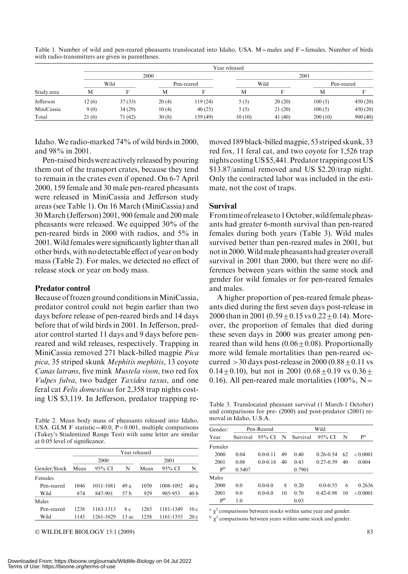| Study area | Year released<br>------------------------------------                              |         |            |         |         |         |            |          |  |
|------------|------------------------------------------------------------------------------------|---------|------------|---------|---------|---------|------------|----------|--|
|            |                                                                                    |         | 2000       |         | 2001    |         |            |          |  |
|            | --------------------------------<br>Wild<br>-------------------------------------- |         | Pen-reared |         | Wild    |         | Pen-reared |          |  |
|            |                                                                                    |         | IV         |         | м       |         |            |          |  |
| Jefferson  | 12(6)                                                                              | 37(33)  | 20(4)      | 19 (24) | 5(5)    | 20(20)  | 100 (5)    | 450 (20) |  |
| MiniCassia | 9 (0)                                                                              | 34(29)  | 10(4)      | 40(25)  | 5(5)    | 21(20)  | 100 (5)    | 450 (20) |  |
| Total      | 21(6)                                                                              | 71 (62) | 30(8)      | 59 (49) | 10 (10) | 41 (40) | 200 (10)   | 900(40)  |  |

Table 1. Number of wild and pen-reared pheasants translocated into Idaho, USA. M=males and  $F =$ females. Number of birds with radio-transmitters are given in parentheses.

Idaho. We radio-marked 74% of wild birds in 2000, and 98% in 2001.

Pen-raised birds were actively released by pouring them out of the transport crates, because they tend to remain in the crates even if opened. On 6-7 April 2000, 159 female and 30 male pen-reared pheasants were released in MiniCassia and Jefferson study areas (see Table 1). On 16 March (MiniCassia) and 30 March (Jefferson) 2001, 900 female and 200 male pheasants were released. We equipped 30% of the pen-reared birds in 2000 with radios, and 5% in 2001.Wild females were significantly lighter than all other birds, with no detectable effect of year on body mass (Table 2). For males, we detected no effect of release stock or year on body mass.

#### Predator control

Because of frozen ground conditions inMiniCassia, predator control could not begin earlier than two days before release of pen-reared birds and 14 days before that of wild birds in 2001. In Jefferson, predator control started 11 days and 9 days before penreared and wild releases, respectively. Trapping in MiniCassia removed 271 black-billed magpie Pica pica, 35 striped skunk Mephitis mephitis, 13 coyote Canas latrans, five mink Mustela vison, two red fox Vulpes fulva, two badger Taxidea taxus, and one feral cat Felis domesticus for 2,358 trap nights costing US \$3,119. In Jefferson, predator trapping re-

Table 2. Mean body mass of pheasants released into Idaho, USA. GLM F statistic=40.0,  $\hat{P} < 0.001$ , multiple comparisons (Tukey's Studentized Range Test) with same letter are similar at 0.05 level of significance.

|              | Year released |           |      |      |           |      |  |  |
|--------------|---------------|-----------|------|------|-----------|------|--|--|
|              |               | 2000      |      | 2001 |           |      |  |  |
| Gender/Stock | Mean          | 95% CI    | N    | Mean | 95% CI    | N    |  |  |
| Females      |               |           |      |      |           |      |  |  |
| Pen-reared   | 1046          | 1011-1081 | 49 a | 1050 | 1008-1092 | 40 a |  |  |
| Wild         | 874           | 847-901   | 57 h | 929  | 905-953   | 40 h |  |  |
| Males        |               |           |      |      |           |      |  |  |
| Pen-reared   | 1238          | 1163-1313 | 8 c  | 1265 | 1181-1349 | 10c  |  |  |
| Wild         | 1145          | 1261-1029 | 13ac | 1258 | 1161-1355 | 20c  |  |  |

 $\odot$  WILDLIFE BIOLOGY 15:1 (2009) 83

moved 189 black-billed magpie, 53 striped skunk, 33 red fox, 11 feral cat, and two coyote for 1,526 trap nights costingUS \$5,441. Predator trapping costUS \$13.87/animal removed and US \$2.20/trap night. Only the contracted labor was included in the estimate, not the cost of traps.

#### Survival

From timeof release to1October,wild femalepheasants had greater 6-month survival than pen-reared females during both years (Table 3). Wild males survived better than pen-reared males in 2001, but notin 2000.Wildmale pheasants had greater overall survival in 2001 than 2000, but there were no differences between years within the same stock and gender for wild females or for pen-reared females and males.

A higher proportion of pen-reared female pheasants died during the first seven days post-release in 2000 than in 2001 (0.59  $\pm$  0.15 vs 0.22  $\pm$  0.14). Moreover, the proportion of females that died during these seven days in 2000 was greater among penreared than wild hens  $(0.06 \pm 0.08)$ . Proportionally more wild female mortalities than pen-reared occurred  $>$  30 days post-release in 2000 (0.88  $\pm$  0.11 vs 0.14 $\pm$ 0.10), but not in 2001 (0.68 $\pm$ 0.19 vs 0.36 $\pm$ 0.16). All pen-reared male mortalities (100%,  $N=$ 

Table 3. Translocated pheasant survival (1 March-1 October) and comparisons for pre- (2000) and post-predator (2001) removal in Idaho, U.S.A.

| Gender/                   | Pen-Reared |              |    | Wild     |               |    |          |
|---------------------------|------------|--------------|----|----------|---------------|----|----------|
| Year                      | Survival   | 95% CI       | N  | Survival | 95% CI        | N  | pa       |
| Females                   |            |              |    |          |               |    |          |
| 2000                      | 0.04       | $0.0 - 0.11$ | 49 | 0.40     | $0.26 - 0.54$ | 62 | < 0.0001 |
| 2001                      | 0.08       | $0.0 - 0.18$ | 40 | 0.43     | $0.27 - 0.59$ | 40 | 0.004    |
| $\mathbf{p}^{\mathrm{b}}$ | 0.5407     |              |    | 0.7901   |               |    |          |
| Males                     |            |              |    |          |               |    |          |
| 2000                      | 0.0        | $0.0 - 0.0$  | 8  | 0.20     | $0.0 - 0.55$  | 6  | 0.2636   |
| 2001                      | 0.0        | $0.0 - 0.0$  | 10 | 0.70     | $0.42 - 0.98$ | 10 | < 0.0001 |
| P <sub>p</sub>            | 1.0        |              |    | 0.03     |               |    |          |

 $a \chi^2$  comparisons between stocks within same year and gender.

 $\frac{b}{x^2}$  comparisons between years within same stock and gender.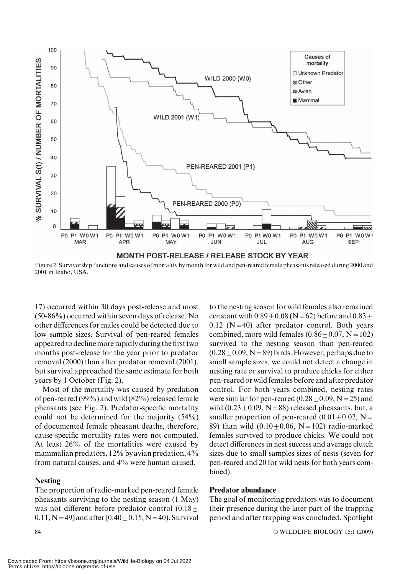

Figure 2. Survivorship functions and causes of mortality by month for wild and pen-reared female pheasants released during 2000 and 2001 in Idaho, USA.

17) occurred within 30 days post-release and most (50-86%) occurred within seven days of release. No other differences for males could be detected due to low sample sizes. Survival of pen-reared females appeared to declinemore rapidly during the first two months post-release for the year prior to predator removal (2000) than after predator removal (2001), but survival approached the same estimate for both years by 1 October (Fig. 2).

Most of the mortality was caused by predation of pen-reared (99%) and wild (82%) released female pheasants (see Fig. 2). Predator-specific mortality could not be determined for the majority (54%) of documented female pheasant deaths, therefore, cause-specific mortality rates were not computed. At least 26% of the mortalities were caused by mammalian predators, 12% by avian predation, 4% from natural causes, and 4% were human caused.

#### **Nesting**

The proportion of radio-marked pen-reared female pheasants surviving to the nesting season (1 May) was not different before predator control  $(0.18 +$ 0.11, N = 49) and after  $(0.40 \pm 0.15, N = 40)$ . Survival to the nesting season for wild females also remained constant with  $0.89 \pm 0.08$  (N = 62) before and  $0.83 \pm$  $0.12$  (N=40) after predator control. Both years combined, more wild females  $(0.86 \pm 0.07, N = 102)$ survived to the nesting season than pen-reared  $(0.28 \pm 0.09, N = 89)$  birds. However, perhaps due to small sample sizes, we could not detect a change in nesting rate or survival to produce chicks for either pen-reared or wild females before and after predator control. For both years combined, nesting rates were similar for pen-reared  $(0.28 \pm 0.09, N=25)$  and wild  $(0.23 \pm 0.09, N=88)$  released pheasants, but, a smaller proportion of pen-reared  $(0.01 + 0.02, N=$ 89) than wild  $(0.10 + 0.06, N = 102)$  radio-marked females survived to produce chicks. We could not detect differences in nest success and average clutch sizes due to small samples sizes of nests (seven for pen-reared and 20 for wild nests for both years combined).

#### Predator abundance

The goal of monitoring predators was to document their presence during the later part of the trapping period and after trapping was concluded. Spotlight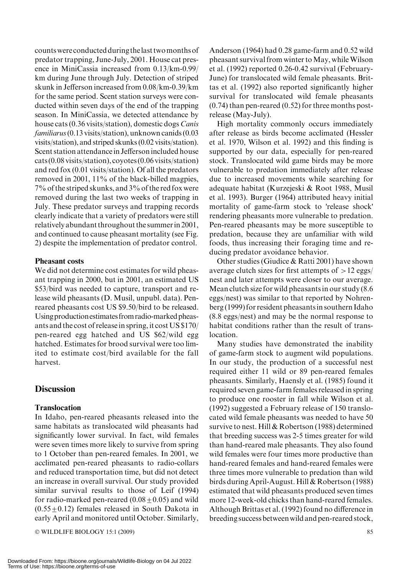countswere conducted during thelast twomonths of predator trapping, June-July, 2001. House cat presence in MiniCassia increased from 0.13/km-0.99/ km during June through July. Detection of striped skunk in Jefferson increased from 0.08/km-0.39/km for the same period. Scent station surveys were conducted within seven days of the end of the trapping season. In MiniCassia, we detected attendance by house cats (0.36 visits/station), domestic dogs Canis familiarus(0.13 visits/station), unknown canids (0.03 visits/station), and striped skunks (0.02 visits/station). Scent station attendance in Jefferson included house cats (0.08 visits/station), coyotes (0.06 visits/station) and red fox (0.01 visits/station). Of all the predators removed in 2001, 11% of the black-billed magpies, 7% of the striped skunks, and 3% of the red fox were removed during the last two weeks of trapping in July. These predator surveys and trapping records clearly indicate that a variety of predators were still relatively abundant throughout the summerin 2001, and continued to cause pheasant mortality (see Fig. 2) despite the implementation of predator control.

#### Pheasant costs

We did not determine cost estimates for wild pheasant trapping in 2000, but in 2001, an estimated US \$53/bird was needed to capture, transport and release wild pheasants (D. Musil, unpubl. data). Penreared pheasants cost US \$9.50/bird to be released. Using production estimates from radio-marked pheasants and the cost of release in spring, it costUS \$170/ pen-reared egg hatched and US \$62/wild egg hatched. Estimates for brood survival were too limited to estimate cost/bird available for the fall harvest.

# **Discussion**

#### Translocation

In Idaho, pen-reared pheasants released into the same habitats as translocated wild pheasants had significantly lower survival. In fact, wild females were seven times more likely to survive from spring to 1 October than pen-reared females. In 2001, we acclimated pen-reared pheasants to radio-collars and reduced transportation time, but did not detect an increase in overall survival. Our study provided similar survival results to those of Leif (1994) for radio-marked pen-reared  $(0.08 \pm 0.05)$  and wild  $(0.55+0.12)$  females released in South Dakota in early April and monitored until October. Similarly,

© WILDLIFE BIOLOGY 15:1 (2009) 85

Anderson (1964) had 0.28 game-farm and 0.52 wild pheasant survival from winter to May, while Wilson et al. (1992) reported 0.26-0.42 survival (February-June) for translocated wild female pheasants. Brittas et al. (1992) also reported significantly higher survival for translocated wild female pheasants (0.74) than pen-reared (0.52) for three months postrelease (May-July).

High mortality commonly occurs immediately after release as birds become acclimated (Hessler et al. 1970, Wilson et al. 1992) and this finding is supported by our data, especially for pen-reared stock. Translocated wild game birds may be more vulnerable to predation immediately after release due to increased movements while searching for adequate habitat (Kurzejeski & Root 1988, Musil et al. 1993). Burger (1964) attributed heavy initial mortality of game-farm stock to 'release shock' rendering pheasants more vulnerable to predation. Pen-reared pheasants may be more susceptible to predation, because they are unfamiliar with wild foods, thus increasing their foraging time and reducing predator avoidance behavior.

Other studies (Giudice & Ratti 2001) have shown average clutch sizes for first attempts of  $>12$  eggs/ nest and later attempts were closer to our average. Mean clutch size for wild pheasants in our study (8.6 eggs/nest) was similar to that reported by Nohrenberg (1999) for resident pheasantsin southern Idaho (8.8 eggs/nest) and may be the normal response to habitat conditions rather than the result of translocation.

Many studies have demonstrated the inability of game-farm stock to augment wild populations. In our study, the production of a successful nest required either 11 wild or 89 pen-reared females pheasants. Similarly, Haensly et al. (1985) found it required seven game-farm females released in spring to produce one rooster in fall while Wilson et al. (1992) suggested a February release of 150 translocated wild female pheasants was needed to have 50 survive to nest. Hill & Robertson (1988) determined that breeding success was 2-5 times greater for wild than hand-reared male pheasants. They also found wild females were four times more productive than hand-reared females and hand-reared females were three times more vulnerable to predation than wild birds during April-August. Hill & Robertson (1988) estimated that wild pheasants produced seven times more 12-week-old chicks than hand-reared females. Although Brittas et al. (1992) found no difference in breeding success betweenwild and pen-reared stock,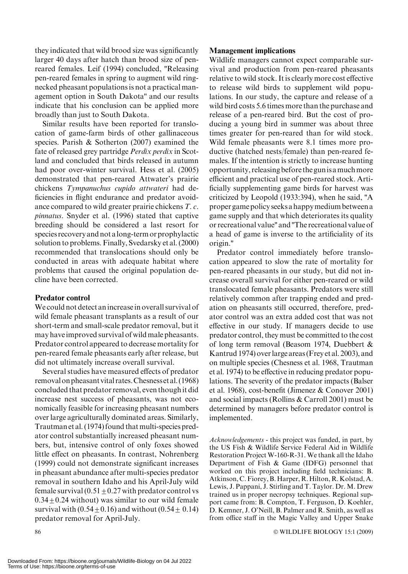they indicated that wild brood size was significantly larger 40 days after hatch than brood size of penreared females. Leif (1994) concluded, ''Releasing pen-reared females in spring to augment wild ringnecked pheasant populations is not a practical management option in South Dakota'' and our results indicate that his conclusion can be applied more broadly than just to South Dakota.

Similar results have been reported for translocation of game-farm birds of other gallinaceous species. Parish & Sotherton (2007) examined the fate of released grey partridge Perdix perdix in Scotland and concluded that birds released in autumn had poor over-winter survival. Hess et al. (2005) demonstrated that pen-reared Attwater's prairie chickens Tympanuchus cupido attwateri had deficiencies in flight endurance and predator avoidance compared to wild greater prairie chickens T. c. pinnatus. Snyder et al. (1996) stated that captive breeding should be considered a last resort for species recovery and not along-term or prophylactic solution to problems. Finally, Svedarsky et al. (2000) recommended that translocations should only be conducted in areas with adequate habitat where problems that caused the original population decline have been corrected.

#### Predator control

We could not detect an increasein overall survival of wild female pheasant transplants as a result of our short-term and small-scale predator removal, but it may have improved survival of wild male pheasants. Predator control appeared to decrease mortality for pen-reared female pheasants early after release, but did not ultimately increase overall survival.

Several studies have measured effects of predator removal onpheasant vital rates.Chesnesset al. (1968) concluded that predator removal, even though it did increase nest success of pheasants, was not economically feasible for increasing pheasant numbers over large agriculturally dominated areas. Similarly, Trautman et al. (1974) found that multi-species predator control substantially increased pheasant numbers, but, intensive control of only foxes showed little effect on pheasants. In contrast, Nohrenberg (1999) could not demonstrate significant increases in pheasant abundance after multi-species predator removal in southern Idaho and his April-July wild female survival  $(0.51 + 0.27$  with predator control vs  $0.34 \pm 0.24$  without) was similar to our wild female survival with  $(0.54 \pm 0.16)$  and without  $(0.54 \pm 0.14)$ predator removal for April-July.

# Management implications

Wildlife managers cannot expect comparable survival and production from pen-reared pheasants relative to wild stock. It is clearly more cost effective to release wild birds to supplement wild populations. In our study, the capture and release of a wild bird costs 5.6 times more than the purchase and release of a pen-reared bird. But the cost of producing a young bird in summer was about three times greater for pen-reared than for wild stock. Wild female pheasants were 8.1 times more productive (hatched nests/female) than pen-reared females. If the intention is strictly to increase hunting opportunity, releasing before the gunis amuchmore efficient and practical use of pen-reared stock. Artificially supplementing game birds for harvest was criticized by Leopold (1933:394), when he said, ''A proper game policy seeks a happymedium between a game supply and that which deteriorates its quality or recreational value'' and''The recreational value of a head of game is inverse to the artificiality of its origin.''

Predator control immediately before translocation appeared to slow the rate of mortality for pen-reared pheasants in our study, but did not increase overall survival for either pen-reared or wild translocated female pheasants. Predators were still relatively common after trapping ended and predation on pheasants still occurred, therefore, predator control was an extra added cost that was not effective in our study. If managers decide to use predator control, they must be committed to the cost of long term removal (Beasom 1974, Duebbert & Kantrud 1974) overlarge areas (Frey et al. 2003), and on multiple species (Chesness et al. 1968, Trautman et al. 1974) to be effective in reducing predator populations. The severity of the predator impacts (Balser et al. 1968), cost-benefit (Jimenez & Conover 2001) and social impacts (Rollins & Carroll 2001) must be determined by managers before predator control is implemented.

Acknowledgements - this project was funded, in part, by the US Fish & Wildlife Service Federal Aid in Wildlife Restoration Project W-160-R-31. We thank all the Idaho Department of Fish & Game (IDFG) personnel that worked on this project including field technicians: B. Atkinson, C. Fiorey, B. Harper, R. Hilton, R. Kolstad, A. Lewis, J. Pappani, J. Stirling and T. Taylor. Dr. M. Drew trained us in proper necropsy techniques. Regional support came from: B. Compton, T. Ferguson, D. Koehler, D. Kemner, J. O'Neill, B. Palmer and R. Smith, as well as from office staff in the Magic Valley and Upper Snake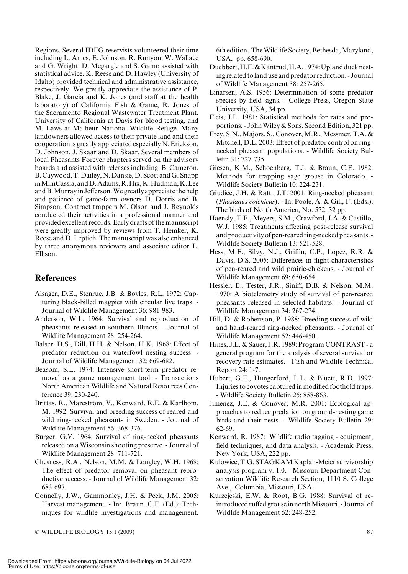Regions. Several IDFG reservists volunteered their time including L. Ames, E. Johnson, R. Runyon, W. Wallace and G. Wright. D. Megargle and S. Gamo assisted with statistical advice. K. Reese and D. Hawley (University of Idaho) provided technical and administrative assistance, respectively. We greatly appreciate the assistance of P. Blake, J. Garcia and K. Jones (and staff at the health laboratory) of California Fish & Game, R. Jones of the Sacramento Regional Wastewater Treatment Plant, University of California at Davis for blood testing, and M. Laws at Malheur National Wildlife Refuge. Many landowners allowed access to their private land and their cooperation is greatly appreciated especially N. Erickson, D. Johnson, J. Skaar and D. Skaar. Several members of local Pheasants Forever chapters served on the advisory boards and assisted with releases including: B. Cameron, B. Caywood, T. Dailey, N. Dansie, D. Scott and G. Snapp inMiniCassia, andD.Adams,R.Hix,K.Hudman,K.Lee andB.Murrayin Jefferson.We greatly appreciate the help and patience of game-farm owners D. Dorris and B. Simpson. Contract trappers M. Olson and J. Reynolds conducted their activities in a professional manner and provided excellent records. Early drafts of the manuscript were greatly improved by reviews from T. Hemker, K. Reese and D. Leptich. The manuscript was also enhanced by three anonymous reviewers and associate editor L. Ellison.

# **References**

- Alsager, D.E., Stenrue, J.B. & Boyles, R.L. 1972: Capturing black-billed magpies with circular live traps. - Journal of Wildlife Management 36: 981-983.
- Anderson, W.L. 1964: Survival and reproduction of pheasants released in southern Illinois. - Journal of Wildlife Management 28: 254-264.
- Balser, D.S., Dill, H.H. & Nelson, H.K. 1968: Effect of predator reduction on waterfowl nesting success. - Journal of Wildlife Management 32: 669-682.
- Beasom, S.L. 1974: Intensive short-term predator removal as a game management tool. - Transactions North American Wildlife and Natural Resources Conference 39: 230-240.
- Brittas, R., Marcström, V., Kenward, R.E. & Karlbom, M. 1992: Survival and breeding success of reared and wild ring-necked pheasants in Sweden. - Journal of Wildlife Management 56: 368-376.
- Burger, G.V. 1964: Survival of ring-necked pheasants released on a Wisconsin shooting preserve. - Journal of Wildlife Management 28: 711-721.
- Chesness, R.A., Nelson, M.M. & Longley, W.H. 1968: The effect of predator removal on pheasant reproductive success. - Journal of Wildlife Management 32: 683-697.
- Connelly, J.W., Gammonley, J.H. & Peek, J.M. 2005: Harvest management. - In: Braun, C.E. (Ed.); Techniques for wildlife investigations and management.

6th edition. The Wildlife Society, Bethesda, Maryland, USA, pp. 658-690.

- Duebbert, H.F. & Kantrud, H.A. 1974: Upland ducknesting related toland use and predator reduction. - Journal of Wildlife Management 38: 257-265.
- Einarsen, A.S. 1956: Determination of some predator species by field signs. - College Press, Oregon State University, USA, 34 pp.
- Fleis, J.L. 1981: Statistical methods for rates and proportions. - John Wiley & Sons. Second Edition, 321 pp.
- Frey, S.N., Majors, S., Conover, M.R., Messmer, T.A. & Mitchell, D.L. 2003: Effect of predator control on ringnecked pheasant populations. - Wildlife Society Bulletin 31: 727-735.
- Giesen, K.M., Schoenberg, T.J. & Braun, C.E. 1982: Methods for trapping sage grouse in Colorado. - Wildlife Society Bulletin 10: 224-231.
- Giudice, J.H. & Ratti, J.T. 2001: Ring-necked pheasant (Phasianus colchicus). - In: Poole, A. & Gill, F. (Eds.); The birds of North America, No. 572, 32 pp.
- Haensly, T.F., Meyers, S.M., Crawford, J.A. & Castillo, W.J. 1985: Treatments affecting post-release survival and productivity of pen-reared ring-necked pheasants. -Wildlife Society Bulletin 13: 521-528.
- Hess, M.F., Silvy, N.J., Griffin, C.P., Lopez, R.R. & Davis, D.S. 2005: Differences in flight characteristics of pen-reared and wild prairie-chickens. - Journal of Wildlife Management 69: 650-654.
- Hessler, E., Tester, J.R., Siniff, D.B. & Nelson, M.M. 1970: A biotelemetry study of survival of pen-reared pheasants released in selected habitats. - Journal of Wildlife Management 34: 267-274.
- Hill, D. & Robertson, P. 1988: Breeding success of wild and hand-reared ring-necked pheasants. - Journal of Wildlife Management 52: 446-450.
- Hines, J.E. & Sauer, J.R. 1989: Program CONTRAST a general program for the analysis of several survival or recovery rate estimates. - Fish and Wildlife Technical Report 24: 1-7.
- Hubert, G.F., Hungerford, L.L. & Bluett, R.D. 1997: Injuries to coyotes captured in modified foothold traps. - Wildlife Society Bulletin 25: 858-863.
- Jimenez, J.E. & Conover, M.R. 2001: Ecological approaches to reduce predation on ground-nesting game birds and their nests. - Wildlife Society Bulletin 29: 62-69.
- Kenward, R. 1987: Wildlife radio tagging equipment, field techniques, and data analysis. - Academic Press, New York, USA, 222 pp.
- Kulowiec, T.G. STAGKAM Kaplan-Meier survivorship analysis program v. 1.0. - Missouri Department Conservation Wildlife Research Section, 1110 S. College Ave., Columbia, Missouri, USA.
- Kurzejeski, E.W. & Root, B.G. 1988: Survival of reintroduced ruffed grouse in north Missouri. - Journal of Wildlife Management 52: 248-252.

 $\odot$  WILDLIFE BIOLOGY 15:1 (2009)  $\qquad \qquad \qquad 87$